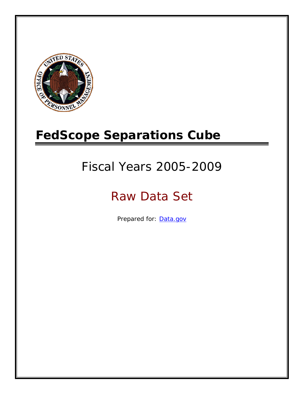

# **FedScope Separations Cube**

# Fiscal Years 2005-2009

# Raw Data Set

Prepared for: [Data.gov](http://www.data.gov/)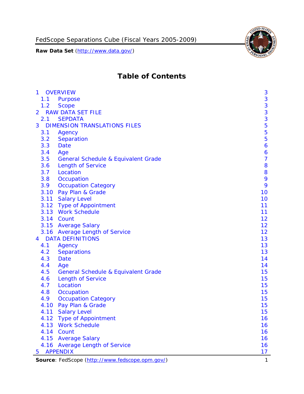

# **Table of Contents**

| $\mathbf{1}$   | <b>OVERVIEW</b>                                 | 3                |
|----------------|-------------------------------------------------|------------------|
| 1.1            | Purpose                                         | $\mathbf{3}$     |
| 1.2            | <b>Scope</b>                                    | 3                |
| $\overline{2}$ | <b>RAW DATA SET FILE</b>                        | $\frac{3}{3}$    |
| 2.1            | <b>SEPDATA</b>                                  |                  |
| 3              | <b>DIMENSION TRANSLATIONS FILES</b>             | 5                |
| 3.1            | Agency                                          | 5                |
| 3.2            | Separation                                      | 5                |
| 3.3            | Date                                            | $\boldsymbol{6}$ |
| 3.4            | Age                                             | 6                |
| 3.5            | <b>General Schedule &amp; Equivalent Grade</b>  | $\overline{7}$   |
| 3.6            | <b>Length of Service</b>                        | 8                |
| 3.7            | Location                                        | 8                |
| 3.8            | Occupation                                      | 9                |
| 3.9            | <b>Occupation Category</b>                      | 9                |
| 3.10           | Pay Plan & Grade                                | 10               |
|                | 3.11 Salary Level                               | 10               |
|                | 3.12 Type of Appointment                        | 11               |
|                | 3.13 Work Schedule                              | 11               |
|                | 3.14 Count                                      | 12               |
|                | 3.15 Average Salary                             | 12               |
|                | 3.16 Average Length of Service                  | 12               |
| 4              | <b>DATA DEFINITIONS</b>                         | 13               |
| 4.1            | Agency                                          | 13               |
| 4.2            | <b>Separations</b>                              | 13               |
| 4.3            | Date                                            | 14               |
| 4.4            | Age                                             | 14               |
| 4.5            | <b>General Schedule &amp; Equivalent Grade</b>  | 15               |
| 4.6            | <b>Length of Service</b>                        | 15               |
| 4.7            | Location                                        | 15               |
| 4.8            | Occupation                                      | 15               |
| 4.9            | <b>Occupation Category</b>                      | 15               |
| 4.10           | Pay Plan & Grade                                | 15               |
| 4.11           | <b>Salary Level</b>                             | 15               |
| 4.12           | <b>Type of Appointment</b>                      | 16               |
| 4.13           | <b>Work Schedule</b>                            | 16               |
|                | 4.14 Count                                      | 16               |
|                | 4.15 Average Salary                             | 16               |
|                | 4.16 Average Length of Service                  | 16               |
| 5              | <b>APPENDIX</b>                                 | 17               |
|                | Source: FedScope (http://www.fedscope.opm.gov/) | 1                |
|                |                                                 |                  |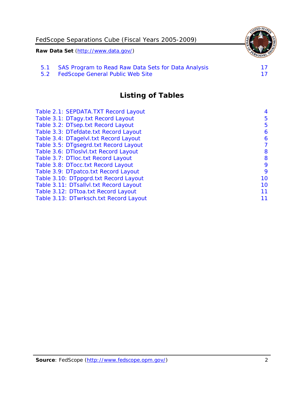

5.2 [FedScope General Public Web Site](#page-17-2)

# **Listing of Tables**

| Table 2.1: SEPDATA. TXT Record Layout  | 4  |
|----------------------------------------|----|
| Table 3.1: DTagy.txt Record Layout     | 5  |
| Table 3.2: DTsep.txt Record Layout     | 5  |
| Table 3.3: DTefdate.txt Record Layout  | 6  |
| Table 3.4: DTagelvl.txt Record Layout  | 6  |
| Table 3.5: DTgsegrd.txt Record Layout  | 7  |
| Table 3.6: DTloslvl.txt Record Layout  | 8  |
| Table 3.7: DTloc.txt Record Layout     | 8  |
| Table 3.8: DTocc.txt Record Layout     | 9  |
| Table 3.9: DTpatco.txt Record Layout   | 9  |
| Table 3.10: DTppgrd.txt Record Layout  | 10 |
| Table 3.11: DTsallvl.txt Record Layout | 10 |
| Table 3.12: DTtoa.txt Record Layout    | 11 |
| Table 3.13: DTwrksch.txt Record Layout | 11 |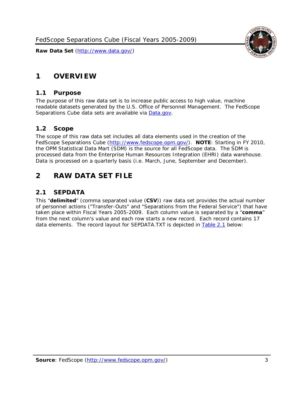

# <span id="page-3-0"></span>**1 OVERVIEW**

### <span id="page-3-1"></span>*1.1 Purpose*

The purpose of this raw data set is to increase public access to high value, machine readable datasets generated by the U.S. Office of Personnel Management. The FedScope Separations Cube data sets are available via [Data.gov.](http://www.data.gov/)

# <span id="page-3-2"></span>*1.2 Scope*

The scope of this raw data set includes all data elements used in the creation of the FedScope Separations Cube [\(http://www.fedscope.opm.gov/\)](http://www.fedscope.opm.gov/). **NOTE**: Starting in FY 2010, the OPM Statistical Data Mart (SDM) is the source for all FedScope data. The SDM is processed data from the Enterprise Human Resources Integration (EHRI) data warehouse. Data is processed on a quarterly basis (i.e. March, June, September and December).

# <span id="page-3-3"></span>**2 RAW DATA SET FILE**

# <span id="page-3-4"></span>*2.1 SEPDATA*

This "**delimited**" (comma separated value (**CSV**)) raw data set provides the actual number of personnel actions ("Transfer-Outs" and "Separations from the Federal Service") that have taken place within Fiscal Years 2005-2009. Each column value is separated by a "**comma**" from the next column's value and each row starts a new record. Each record contains 17 data elements. The record layout for SEPDATA.TXT is depicted in [Table 2.1](#page-4-0) below: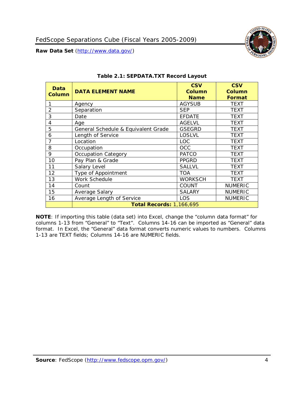

<span id="page-4-0"></span>

| Data<br><b>Column</b> | <b>DATA ELEMENT NAME</b>            | <b>CSV</b><br><b>Column</b><br><b>Name</b> | <b>CSV</b><br>Column<br><b>Format</b> |
|-----------------------|-------------------------------------|--------------------------------------------|---------------------------------------|
|                       | Agency                              | <b>AGYSUB</b>                              | TEXT                                  |
| 2                     | Separation                          | <b>SEP</b>                                 | <b>TEXT</b>                           |
| 3                     | Date                                | <b>EFDATE</b>                              | TEXT                                  |
| 4                     | Age                                 | <b>AGELVL</b>                              | TEXT                                  |
| 5                     | General Schedule & Equivalent Grade | <b>GSEGRD</b>                              | TEXT                                  |
| 6                     | Length of Service                   | <b>LOSLVL</b>                              | TEXT                                  |
| 7                     | Location                            | <b>LOC</b>                                 | <b>TEXT</b>                           |
| 8                     | Occupation                          | OCC                                        | TEXT                                  |
| 9                     | <b>Occupation Category</b>          | <b>PATCO</b>                               | <b>TEXT</b>                           |
| 10                    | Pay Plan & Grade                    | <b>PPGRD</b>                               | TEXT                                  |
| 11                    | Salary Level                        | <b>SALLVL</b>                              | TEXT                                  |
| 12                    | Type of Appointment                 | <b>TOA</b>                                 | TEXT                                  |
| 13                    | Work Schedule                       | <b>WORKSCH</b>                             | TEXT                                  |
| 14                    | Count                               | <b>COUNT</b>                               | <b>NUMERIC</b>                        |
| 15                    | Average Salary                      | <b>SALARY</b>                              | <b>NUMERIC</b>                        |
| 16                    | Average Length of Service           | LOS                                        | <b>NUMERIC</b>                        |
|                       | <b>Total Records: 1,166,695</b>     |                                            |                                       |

#### **Table 2.1: SEPDATA.TXT Record Layout**

**NOTE**: If importing this table (data set) into Excel, change the "column data format" for columns 1-13 from "General" to "Text". Columns 14-16 can be imported as "General" data format. In Excel, the "General" data format converts numeric values to numbers. Columns 1-13 are TEXT fields; Columns 14-16 are NUMERIC fields.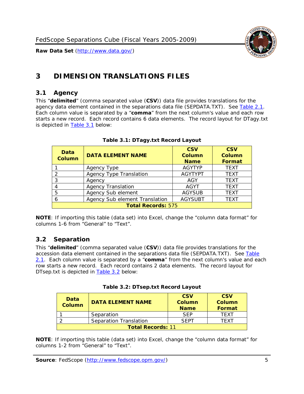

# <span id="page-5-0"></span>**3 DIMENSION TRANSLATIONS FILES**

# <span id="page-5-1"></span>*3.1 Agency*

This "**delimited**" (comma separated value (**CSV**)) data file provides translations for the agency data element contained in the separations data file (SEPDATA.TXT). See [Table 2.1.](#page-4-0) Each column value is separated by a "**comma**" from the next column's value and each row starts a new record. Each record contains 6 data elements. The record layout for DTagy.txt is depicted in [Table 3.1](#page-5-3) below:

<span id="page-5-3"></span>

| Data<br><b>Column</b>     | <b>DATA ELEMENT NAME</b>       | <b>CSV</b><br><b>Column</b><br><b>Name</b> | <b>CSV</b><br>Column<br><b>Format</b> |
|---------------------------|--------------------------------|--------------------------------------------|---------------------------------------|
|                           | Agency Type                    | <b>AGYTYP</b>                              | <b>TEXT</b>                           |
| 2                         | <b>Agency Type Translation</b> | <b>AGYTYPT</b>                             | <b>TEXT</b>                           |
| 3                         | Agency                         | AGY                                        | <b>TEXT</b>                           |
|                           | <b>Agency Translation</b>      | <b>AGYT</b>                                | <b>TEXT</b>                           |
| 5                         | Agency Sub element             | <b>AGYSUB</b>                              | <b>TEXT</b>                           |
|                           | Agency Sub element Translation | <b>AGYSUBT</b>                             | <b>TEXT</b>                           |
| <b>Total Records: 575</b> |                                |                                            |                                       |

### **Table 3.1: DTagy.txt Record Layout**

**NOTE**: If importing this table (data set) into Excel, change the "column data format" for columns 1-6 from "General" to "Text".

# <span id="page-5-2"></span>*3.2 Separation*

This "**delimited**" (comma separated value (**CSV**)) data file provides translations for the accession data element contained in the separations data file (SEPDATA.TXT). See [Table](#page-4-0)  [2.1.](#page-4-0) Each column value is separated by a "**comma**" from the next column's value and each row starts a new record. Each record contains 2 data elements. The record layout for DTsep.txt is depicted in [Table 3.2](#page-5-4) below:

<span id="page-5-4"></span>

| <b>Data</b><br><b>Column</b> | <b>DATA ELEMENT NAME</b> | <b>CSV</b><br>Column<br><b>Name</b> | <b>CSV</b><br>Column<br><b>Format</b> |
|------------------------------|--------------------------|-------------------------------------|---------------------------------------|
|                              | Separation               | <b>SFP</b>                          | TFXT                                  |
|                              | Separation Translation   | SEPT                                | TFXT                                  |
| <b>Total Records: 11</b>     |                          |                                     |                                       |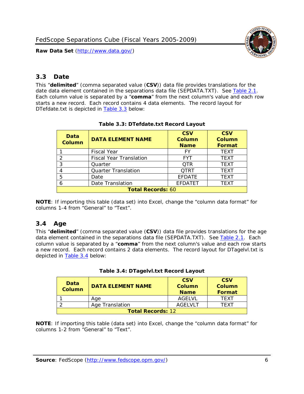

# <span id="page-6-0"></span>*3.3 Date*

This "**delimited**" (comma separated value (**CSV**)) data file provides translations for the date data element contained in the separations data file (SEPDATA.TXT). See [Table 2.1.](#page-4-0) Each column value is separated by a "**comma**" from the next column's value and each row starts a new record. Each record contains 4 data elements. The record layout for DTefdate.txt is depicted in [Table 3.3](#page-6-2) below:

<span id="page-6-2"></span>

| Data<br><b>Column</b>    | <b>DATA ELEMENT NAME</b>       | <b>CSV</b><br>Column<br><b>Name</b> | <b>CSV</b><br>Column<br><b>Format</b> |
|--------------------------|--------------------------------|-------------------------------------|---------------------------------------|
|                          | <b>Fiscal Year</b>             | FY                                  | <b>TEXT</b>                           |
|                          | <b>Fiscal Year Translation</b> | <b>FYT</b>                          | <b>TEXT</b>                           |
| 3                        | Quarter                        | <b>OTR</b>                          | <b>TEXT</b>                           |
| 4                        | <b>Quarter Translation</b>     | <b>QTRT</b>                         | <b>TEXT</b>                           |
| 5                        | Date                           | <b>EFDATE</b>                       | <b>TEXT</b>                           |
| 6                        | Date Translation               | <b>EFDATET</b>                      | <b>TEXT</b>                           |
| <b>Total Records: 60</b> |                                |                                     |                                       |

### **Table 3.3: DTefdate.txt Record Layout**

**NOTE**: If importing this table (data set) into Excel, change the "column data format" for columns 1-4 from "General" to "Text".

# <span id="page-6-1"></span>*3.4 Age*

This "**delimited**" (comma separated value (**CSV**)) data file provides translations for the age data element contained in the separations data file (SEPDATA.TXT). See [Table 2.1.](#page-4-0) Each column value is separated by a "**comma**" from the next column's value and each row starts a new record. Each record contains 2 data elements. The record layout for DTagelvl.txt is depicted in [Table 3.4](#page-6-3) below:

|  | Table 3.4: DTagelvl.txt Record Layout |  |
|--|---------------------------------------|--|
|--|---------------------------------------|--|

<span id="page-6-3"></span>

| Data<br>Column           | <b>DATA ELEMENT NAME</b> | <b>CSV</b><br><b>Column</b><br><b>Name</b> | <b>CSV</b><br>Column<br>Format |
|--------------------------|--------------------------|--------------------------------------------|--------------------------------|
|                          | Age                      | AGELVL                                     | <b>TFXT</b>                    |
|                          | Age Translation          | AGELVLT                                    | TFXT                           |
| <b>Total Records: 12</b> |                          |                                            |                                |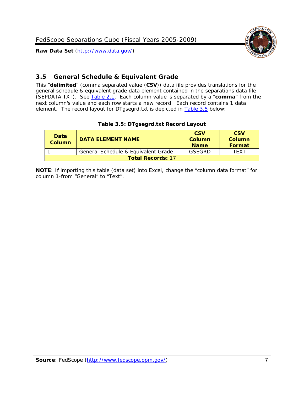

# <span id="page-7-0"></span>*3.5 General Schedule & Equivalent Grade*

This "**delimited**" (comma separated value (**CSV**)) data file provides translations for the general schedule & equivalent grade data element contained in the separations data file (SEPDATA.TXT). See [Table 2.1.](#page-4-0) Each column value is separated by a "**comma**" from the next column's value and each row starts a new record. Each record contains 1 data element. The record layout for DTgsegrd.txt is depicted in [Table 3.5](#page-7-1) below:

|  |  | Table 3.5: DTgsegrd.txt Record Layout |
|--|--|---------------------------------------|
|--|--|---------------------------------------|

<span id="page-7-1"></span>

| Data<br>Column           | <b>DATA ELEMENT NAME</b>            | <b>CSV</b><br>Column<br><b>Name</b> | <b>CSV</b><br>Column<br><b>Format</b> |
|--------------------------|-------------------------------------|-------------------------------------|---------------------------------------|
|                          | General Schedule & Equivalent Grade | GSFGRD                              | TFXT                                  |
| <b>Total Records: 17</b> |                                     |                                     |                                       |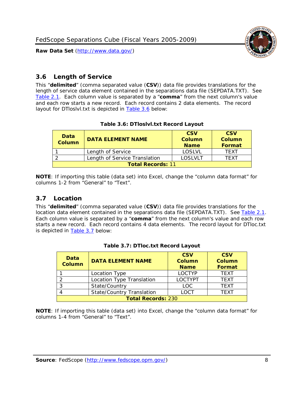



# <span id="page-8-0"></span>*3.6 Length of Service*

This "**delimited**" (comma separated value (**CSV**)) data file provides translations for the length of service data element contained in the separations data file (SEPDATA.TXT). See [Table 2.1.](#page-4-0) Each column value is separated by a "**comma**" from the next column's value and each row starts a new record. Each record contains 2 data elements. The record layout for DTloslvl.txt is depicted in **Table 3.6** below:

### **Table 3.6: DTloslvl.txt Record Layout**

<span id="page-8-2"></span>

| Data<br><b>Column</b>    | <b>DATA ELEMENT NAME</b>      | <b>CSV</b><br>Column<br><b>Name</b> | <b>CSV</b><br>Column<br>Format |
|--------------------------|-------------------------------|-------------------------------------|--------------------------------|
|                          | Length of Service             | LOSLVL                              | <b>TFXT</b>                    |
|                          | Length of Service Translation | LOSLVLT                             | TFXT                           |
| <b>Total Records: 11</b> |                               |                                     |                                |

**NOTE**: If importing this table (data set) into Excel, change the "column data format" for columns 1-2 from "General" to "Text".

# <span id="page-8-1"></span>*3.7 Location*

This "**delimited**" (comma separated value (**CSV**)) data file provides translations for the location data element contained in the separations data file (SEPDATA.TXT). See [Table 2.1.](#page-4-0) Each column value is separated by a "**comma**" from the next column's value and each row starts a new record. Each record contains 4 data elements. The record layout for DTloc.txt is depicted in [Table 3.7](#page-8-3) below:

<span id="page-8-3"></span>

| Data<br><b>Column</b>     | <b>DATA ELEMENT NAME</b>         | <b>CSV</b><br><b>Column</b><br><b>Name</b> | <b>CSV</b><br><b>Column</b><br><b>Format</b> |  |
|---------------------------|----------------------------------|--------------------------------------------|----------------------------------------------|--|
|                           | Location Type                    | <b>LOCTYP</b>                              | <b>TFXT</b>                                  |  |
| 2                         | Location Type Translation        | <b>LOCTYPT</b>                             | <b>TFXT</b>                                  |  |
|                           | State/Country                    | <b>LOC</b>                                 | <b>TFXT</b>                                  |  |
|                           | <b>State/Country Translation</b> | <b>LOCT</b>                                | <b>TFXT</b>                                  |  |
| <b>Total Records: 230</b> |                                  |                                            |                                              |  |

|  |  | Table 3.7: DTloc.txt Record Layout |  |
|--|--|------------------------------------|--|
|--|--|------------------------------------|--|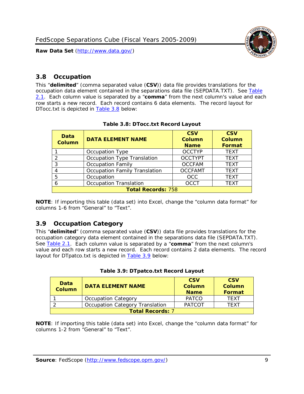

# <span id="page-9-0"></span>*3.8 Occupation*

This "**delimited**" (comma separated value (**CSV**)) data file provides translations for the occupation data element contained in the separations data file (SEPDATA.TXT). See [Table](#page-4-0)  [2.1.](#page-4-0) Each column value is separated by a "**comma**" from the next column's value and each row starts a new record. Each record contains 6 data elements. The record layout for DTocc.txt is depicted in [Table 3.8](#page-9-2) below:

<span id="page-9-2"></span>

| Data<br><b>Column</b>     | <b>DATA ELEMENT NAME</b>             | <b>CSV</b><br><b>Column</b><br><b>Name</b> | <b>CSV</b><br><b>Column</b><br><b>Format</b> |  |
|---------------------------|--------------------------------------|--------------------------------------------|----------------------------------------------|--|
|                           | Occupation Type                      | <b>OCCTYP</b>                              | <b>TEXT</b>                                  |  |
|                           | Occupation Type Translation          | <b>OCCTYPT</b>                             | <b>TEXT</b>                                  |  |
| 3                         | <b>Occupation Family</b>             | <b>OCCFAM</b>                              | <b>TEXT</b>                                  |  |
| 4                         | <b>Occupation Family Translation</b> | <b>OCCFAMT</b>                             | <b>TFXT</b>                                  |  |
| 5                         | Occupation                           | <b>OCC</b>                                 | <b>TEXT</b>                                  |  |
| 6                         | <b>Occupation Translation</b>        | <b>OCCT</b>                                | <b>TEXT</b>                                  |  |
| <b>Total Records: 758</b> |                                      |                                            |                                              |  |

**NOTE**: If importing this table (data set) into Excel, change the "column data format" for columns 1-6 from "General" to "Text".

# <span id="page-9-1"></span>*3.9 Occupation Category*

This "**delimited**" (comma separated value (**CSV**)) data file provides translations for the occupation category data element contained in the separations data file (SEPDATA.TXT). See [Table 2.1.](#page-4-0) Each column value is separated by a "**comma**" from the next column's value and each row starts a new record. Each record contains 2 data elements. The record layout for DTpatco.txt is depicted in [Table 3.9](#page-9-3) below:

| Table 3.9: DTpatco.txt Record Layout |  |  |  |
|--------------------------------------|--|--|--|
|                                      |  |  |  |

<span id="page-9-3"></span>

| Data<br><b>Column</b>   | <b>DATA ELEMENT NAME</b>        |               | <b>CSV</b><br>Column<br>Format |
|-------------------------|---------------------------------|---------------|--------------------------------|
|                         | <b>Occupation Category</b>      | <b>PATCO</b>  | <b>TFXT</b>                    |
|                         | Occupation Category Translation | <b>PATCOT</b> | <b>TFXT</b>                    |
| <b>Total Records: 7</b> |                                 |               |                                |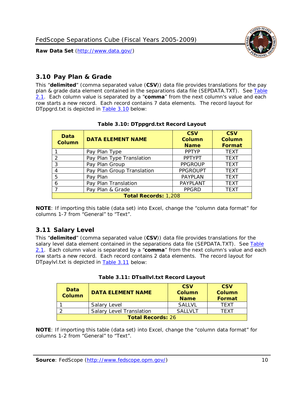

# <span id="page-10-0"></span>*3.10 Pay Plan & Grade*

This "**delimited**" (comma separated value (**CSV**)) data file provides translations for the pay plan & grade data element contained in the separations data file (SEPDATA.TXT). See [Table](#page-4-0)  [2.1.](#page-4-0) Each column value is separated by a "**comma**" from the next column's value and each row starts a new record. Each record contains 7 data elements. The record layout for DTppgrd.txt is depicted in [Table 3.10](#page-10-2) below:

<span id="page-10-2"></span>

| Data<br>Column | <b>DATA ELEMENT NAME</b>    | <b>CSV</b><br>Column<br><b>Name</b> | <b>CSV</b><br>Column<br><b>Format</b> |  |  |
|----------------|-----------------------------|-------------------------------------|---------------------------------------|--|--|
|                | Pay Plan Type               | <b>PPTYP</b>                        | <b>TEXT</b>                           |  |  |
| っ              | Pay Plan Type Translation   | <b>PPTYPT</b>                       | <b>TEXT</b>                           |  |  |
| 3              | Pay Plan Group              | <b>PPGROUP</b>                      | <b>TEXT</b>                           |  |  |
| 4              | Pay Plan Group Translation  | <b>PPGROUPT</b>                     | <b>TEXT</b>                           |  |  |
| 5              | Pay Plan                    | <b>PAYPLAN</b>                      | <b>TEXT</b>                           |  |  |
| 6              | Pay Plan Translation        | PAYPLANT                            | <b>TEXT</b>                           |  |  |
|                | Pay Plan & Grade            | <b>PPGRD</b>                        | <b>TEXT</b>                           |  |  |
|                | <b>Total Records: 1,208</b> |                                     |                                       |  |  |

### **Table 3.10: DTppgrd.txt Record Layout**

**NOTE**: If importing this table (data set) into Excel, change the "column data format" for columns 1-7 from "General" to "Text".

# <span id="page-10-1"></span>*3.11 Salary Level*

This "**delimited**" (comma separated value (**CSV**)) data file provides translations for the salary level data element contained in the separations data file (SEPDATA.TXT). See Table [2.1.](#page-4-0) Each column value is separated by a "**comma**" from the next column's value and each row starts a new record. Each record contains 2 data elements. The record layout for DTpaylvl.txt is depicted in [Table 3.11](#page-10-3) below:

<span id="page-10-3"></span>

| Data<br><b>Column</b>    | <b>DATA ELEMENT NAME</b>        | <b>CSV</b><br><b>Column</b><br><b>Name</b> | <b>CSV</b><br><b>Column</b><br>Format |
|--------------------------|---------------------------------|--------------------------------------------|---------------------------------------|
|                          | Salary Level                    | <b>SALLVL</b>                              | TFXT                                  |
|                          | <b>Salary Level Translation</b> | <b>SALLVLT</b>                             | TFXT                                  |
| <b>Total Records: 26</b> |                                 |                                            |                                       |

|  | Table 3.11: DTsallvl.txt Record Layout |  |
|--|----------------------------------------|--|
|  |                                        |  |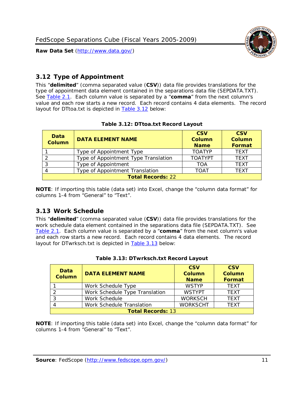



# <span id="page-11-0"></span>*3.12 Type of Appointment*

This "**delimited**" (comma separated value (**CSV**)) data file provides translations for the type of appointment data element contained in the separations data file (SEPDATA.TXT). See [Table 2.1.](#page-4-0) Each column value is separated by a "**comma**" from the next column's value and each row starts a new record. Each record contains 4 data elements. The record layout for DTtoa.txt is depicted in **Table 3.12** below:

<span id="page-11-2"></span>

| Data<br><b>Column</b>    | <b>DATA ELEMENT NAME</b>             | <b>CSV</b><br><b>Column</b><br><b>Name</b> | <b>CSV</b><br><b>Column</b><br>Format |  |
|--------------------------|--------------------------------------|--------------------------------------------|---------------------------------------|--|
|                          | Type of Appointment Type             | <b>TOATYP</b>                              | <b>TEXT</b>                           |  |
|                          | Type of Appointment Type Translation | <b>TOATYPT</b>                             | <b>TEXT</b>                           |  |
|                          | Type of Appointment                  | <b>TOA</b>                                 | <b>TEXT</b>                           |  |
|                          | Type of Appointment Translation      | <b>TOAT</b>                                | <b>TEXT</b>                           |  |
| <b>Total Records: 22</b> |                                      |                                            |                                       |  |

### **Table 3.12: DTtoa.txt Record Layout**

**NOTE**: If importing this table (data set) into Excel, change the "column data format" for columns 1-4 from "General" to "Text".

# <span id="page-11-1"></span>*3.13 Work Schedule*

This "**delimited**" (comma separated value (**CSV**)) data file provides translations for the work schedule data element contained in the separations data file (SEPDATA.TXT). See [Table 2.1.](#page-4-0) Each column value is separated by a "**comma**" from the next column's value and each row starts a new record. Each record contains 4 data elements. The record layout for DTwrksch.txt is depicted in **Table 3.13** below:

<span id="page-11-3"></span>

| Data<br><b>Column</b>    | <b>DATA ELEMENT NAME</b>       | <b>CSV</b><br><b>Column</b><br><b>Name</b> | <b>CSV</b><br><b>Column</b><br>Format |  |
|--------------------------|--------------------------------|--------------------------------------------|---------------------------------------|--|
|                          | Work Schedule Type             | <b>WSTYP</b>                               | <b>TEXT</b>                           |  |
|                          | Work Schedule Type Translation | <b>WSTYPT</b>                              | <b>TFXT</b>                           |  |
| っ                        | Work Schedule                  | <b>WORKSCH</b>                             | <b>TFXT</b>                           |  |
|                          | Work Schedule Translation      | <b>WORKSCHT</b>                            | <b>TFXT</b>                           |  |
| <b>Total Records: 13</b> |                                |                                            |                                       |  |

|  | Table 3.13: DTwrksch.txt Record Layout |  |
|--|----------------------------------------|--|
|  |                                        |  |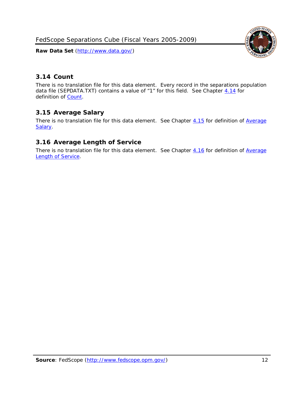FedScope Separations Cube (Fiscal Years 2005-2009)

**Raw Data Set** (http://www.data.gov/)



# <span id="page-12-0"></span>*3.14 Count*

There is no translation file for this data element. Every record in the separations population data file (SEPDATA.TXT) contains a value of "1" for this field. See Chapter [4.14](#page-16-2) for definition of [Count.](#page-16-2)

# <span id="page-12-1"></span>*3.15 Average Salary*

There is no translation file for this data element. See Chapter [4.15](#page-16-3) for definition of Average [Salary.](#page-16-3)

# <span id="page-12-2"></span>*3.16 Average Length of Service*

There is no translation file for this data element. See Chapter [4.16](#page-16-4) for definition of Average [Length of Service.](#page-16-4)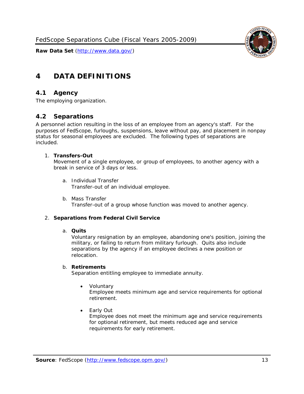

# <span id="page-13-0"></span>**4 DATA DEFINITIONS**

### <span id="page-13-1"></span>*4.1 Agency*

<span id="page-13-2"></span>The employing organization.

### *4.2 Separations*

A personnel action resulting in the loss of an employee from an agency's staff. For the purposes of FedScope, furloughs, suspensions, leave without pay, and placement in nonpay status for seasonal employees are excluded. The following types of separations are included.

#### 1. **Transfers-Out**

Movement of a single employee, or group of employees, to another agency with a break in service of 3 days or less.

- a. *Individual Transfer* Transfer-out of an individual employee.
- b. *Mass Transfer* Transfer-out of a group whose function was moved to another agency.

### 2. **Separations from Federal Civil Service**

#### a. **Quits**

Voluntary resignation by an employee, abandoning one's position, joining the military, or failing to return from military furlough. Quits also include separations by the agency if an employee declines a new position or relocation.

#### b. **Retirements**

Separation entitling employee to immediate annuity.

• *Voluntary*

Employee meets minimum age and service requirements for optional retirement.

• *Early Out*

Employee does not meet the minimum age and service requirements for optional retirement, but meets reduced age and service requirements for early retirement.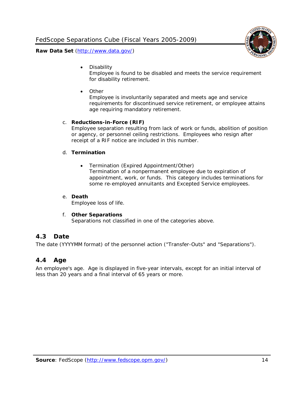

• *Disability*

Employee is found to be disabled and meets the service requirement for disability retirement.

• *Other*

Employee is involuntarily separated and meets age and service requirements for discontinued service retirement, or employee attains age requiring mandatory retirement.

#### c. **Reductions-in-Force (RIF)**

Employee separation resulting from lack of work or funds, abolition of position or agency, or personnel ceiling restrictions. Employees who resign after receipt of a RIF notice are included in this number.

#### d. **Termination**

• *Termination (Expired Appointment/Other)* Termination of a nonpermanent employee due to expiration of appointment, work, or funds. This category includes terminations for some re-employed annuitants and Excepted Service employees.

#### e. **Death**

Employee loss of life.

### f. **Other Separations**

Separations not classified in one of the categories above.

### <span id="page-14-0"></span>*4.3 Date*

<span id="page-14-1"></span>The date (YYYYMM format) of the personnel action ("Transfer-Outs" and "Separations").

### *4.4 Age*

An employee's age. Age is displayed in five-year intervals, except for an initial interval of less than 20 years and a final interval of 65 years or more.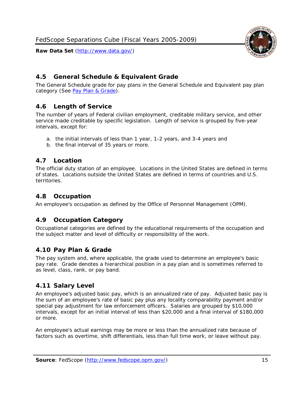# <span id="page-15-0"></span>*4.5 General Schedule & Equivalent Grade*

The General Schedule grade for pay plans in the General Schedule and Equivalent pay plan category (See [Pay Plan & Grade\)](#page-10-0).

# <span id="page-15-1"></span>*4.6 Length of Service*

The number of years of Federal civilian employment, creditable military service, and other service made creditable by specific legislation. Length of service is grouped by five-year intervals, except for:

- a. the initial intervals of less than 1 year, 1-2 years, and 3-4 years and
- b. the final interval of 35 years or more.

# <span id="page-15-2"></span>*4.7 Location*

The official duty station of an employee. Locations in the United States are defined in terms of states. Locations outside the United States are defined in terms of countries and U.S. territories.

# <span id="page-15-3"></span>*4.8 Occupation*

<span id="page-15-4"></span>An employee's occupation as defined by the Office of Personnel Management (OPM).

# *4.9 Occupation Category*

Occupational categories are defined by the educational requirements of the occupation and the subject matter and level of difficulty or responsibility of the work.

# <span id="page-15-5"></span>*4.10 Pay Plan & Grade*

The pay system and, where applicable, the grade used to determine an employee's basic pay rate. Grade denotes a hierarchical position in a pay plan and is sometimes referred to as level, class, rank, or pay band.

# <span id="page-15-6"></span>*4.11 Salary Level*

An employee's adjusted basic pay, which is an annualized rate of pay. Adjusted basic pay is the sum of an employee's rate of basic pay plus any locality comparability payment and/or special pay adjustment for law enforcement officers. Salaries are grouped by \$10,000 intervals, except for an initial interval of less than \$20,000 and a final interval of \$180,000 or more.

An employee's actual earnings may be more or less than the annualized rate because of factors such as overtime, shift differentials, less than full time work, or leave without pay.

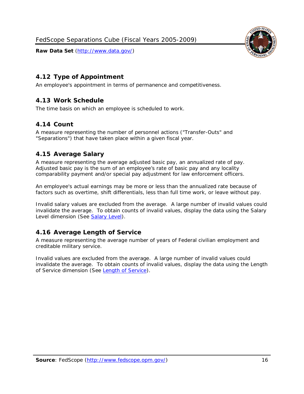



# <span id="page-16-0"></span>*4.12 Type of Appointment*

<span id="page-16-1"></span>An employee's appointment in terms of permanence and competitiveness.

# *4.13 Work Schedule*

<span id="page-16-2"></span>The time basis on which an employee is scheduled to work.

# *4.14 Count*

A measure representing the number of personnel actions ("Transfer-Outs" and "Separations") that have taken place within a given fiscal year.

# <span id="page-16-3"></span>*4.15 Average Salary*

A measure representing the average adjusted basic pay, an annualized rate of pay. Adjusted basic pay is the sum of an employee's rate of basic pay and any locality comparability payment and/or special pay adjustment for law enforcement officers.

An employee's actual earnings may be more or less than the annualized rate because of factors such as overtime, shift differentials, less than full time work, or leave without pay.

Invalid salary values are excluded from the average. A large number of invalid values could invalidate the average. To obtain counts of invalid values, display the data using the Salary Level dimension (See [Salary Level\)](#page-15-6).

# <span id="page-16-4"></span>*4.16 Average Length of Service*

A measure representing the average number of years of Federal civilian employment and creditable military service.

Invalid values are excluded from the average. A large number of invalid values could invalidate the average. To obtain counts of invalid values, display the data using the Length of Service dimension (See [Length of Service\)](#page-8-0).